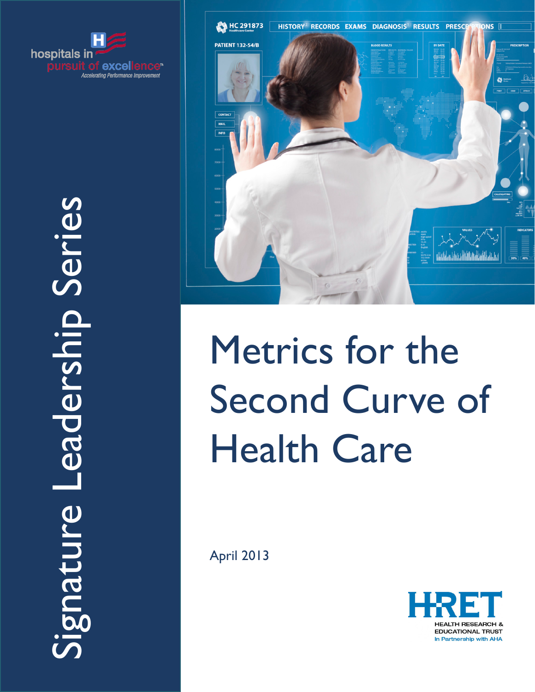



# Metrics for the Second Curve of Health Care

April 2013

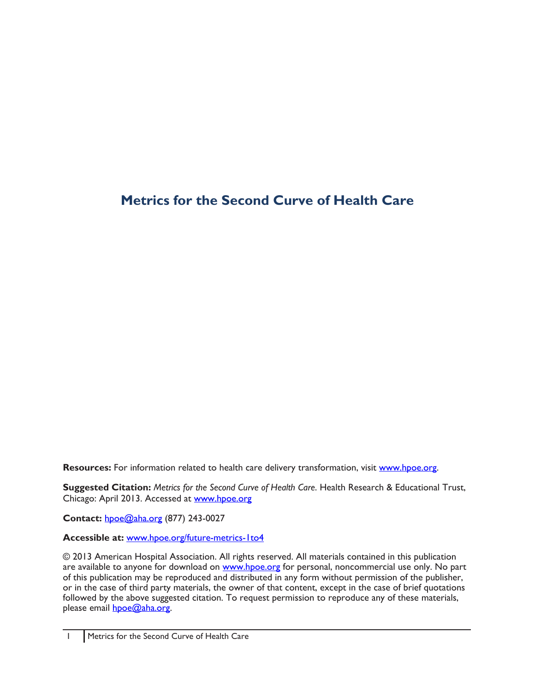# **Metrics for the Second Curve of Health Care**

**Resources:** For information related to health care delivery transformation, visit [www.hpoe.org.](http://www.hpoe.org)

**Suggested Citation:** *Metrics for the Second Curve of Health Care*. Health Research & Educational Trust, Chicago: April 2013. Accessed at [www.hpoe.org](http://www.hpoe.org)

**Contact:** [hpoe@aha.org](mailto:hpoe@aha.org) (877) 243-0027

**Accessible at:** <www.hpoe.org/future-metrics-1to4>

© 2013 American Hospital Association. All rights reserved. All materials contained in this publication are available to anyone for download on www.hpoe.org for personal, noncommercial use only. No part of this publication may be reproduced and distributed in any form without permission of the publisher, or in the case of third party materials, the owner of that content, except in the case of brief quotations followed by the above suggested citation. To request permission to reproduce any of these materials, please email **hpoe@aha.org**.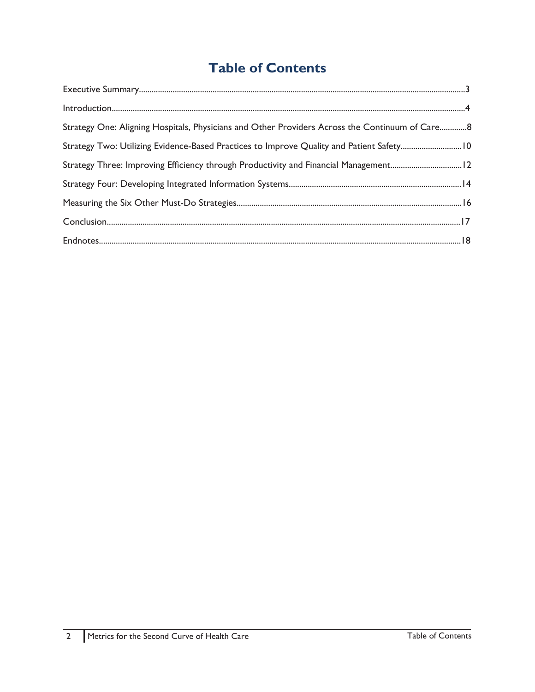# **Table of Contents**

| Strategy One: Aligning Hospitals, Physicians and Other Providers Across the Continuum of Care8 |  |
|------------------------------------------------------------------------------------------------|--|
|                                                                                                |  |
| Strategy Three: Improving Efficiency through Productivity and Financial Management12           |  |
|                                                                                                |  |
|                                                                                                |  |
|                                                                                                |  |
|                                                                                                |  |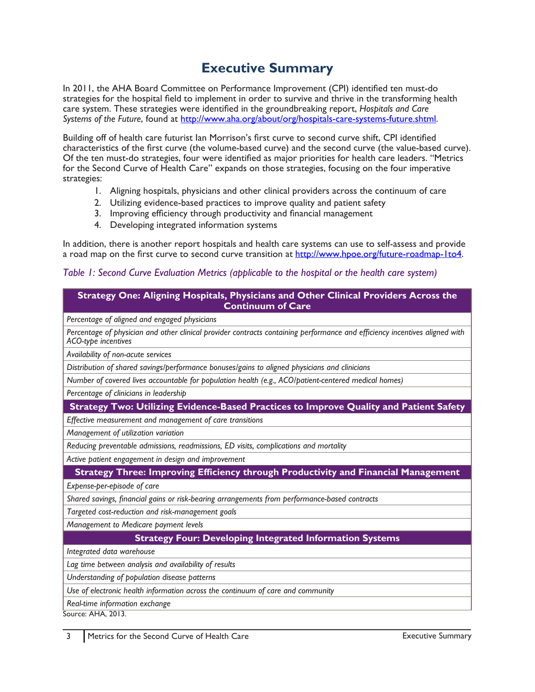# **Executive Summary**

<span id="page-3-0"></span>In 2011, the AHA Board Committee on Performance Improvement (CPI) identified ten must-do strategies for the hospital field to implement in order to survive and thrive in the transforming health care system. These strategies were identified in the groundbreaking report, *Hospitals and Care Systems of the Future*, found at <http://www.aha.org/about/org/hospitals-care-systems-future.shtml>.

Building off of health care futurist Ian Morrison's first curve to second curve shift, CPI identified characteristics of the first curve (the volume-based curve) and the second curve (the value-based curve). Of the ten must-do strategies, four were identified as major priorities for health care leaders. "Metrics for the Second Curve of Health Care" expands on those strategies, focusing on the four imperative strategies:

- 1. Aligning hospitals, physicians and other clinical providers across the continuum of care
- 2. Utilizing evidence-based practices to improve quality and patient safety
- 3. Improving efficiency through productivity and financial management
- 4. Developing integrated information systems

In addition, there is another report hospitals and health care systems can use to self-assess and provide a road map on the first curve to second curve transition at <http://www.hpoe.org/future-roadmap-1to4>.

## *Table 1: Second Curve Evaluation Metrics (applicable to the hospital or the health care system)*

#### **Strategy One: Aligning Hospitals, Physicians and Other Clinical Providers Across the Continuum of Care**

*Percentage of aligned and engaged physicians* 

*Percentage of physician and other clinical provider contracts containing performance and efficiency incentives aligned with ACO-type incentives* 

*Availability of non-acute services* 

*Distribution of shared savings/performance bonuses/gains to aligned physicians and clinicians* 

*Number of covered lives accountable for population health (e.g., ACO/patient-centered medical homes)* 

*Percentage of clinicians in leadership* 

**Strategy Two: Utilizing Evidence-Based Practices to Improve Quality and Patient Safety**

*Effective measurement and management of care transitions* 

*Management of utilization variation* 

*Reducing preventable admissions, readmissions, ED visits, complications and mortality* 

*Active patient engagement in design and improvement* 

## **Strategy Three: Improving Efficiency through Productivity and Financial Management**

*Expense-per-episode of care*

*Shared savings, financial gains or risk-bearing arrangements from performance-based contracts* 

*Targeted cost-reduction and risk-management goals*

*Management to Medicare payment levels*

## **Strategy Four: Developing Integrated Information Systems**

*Integrated data warehouse*

*Lag time between analysis and availability of results*

*Understanding of population disease patterns* 

*Use of electronic health information across the continuum of care and community*

*Real-time information exchange*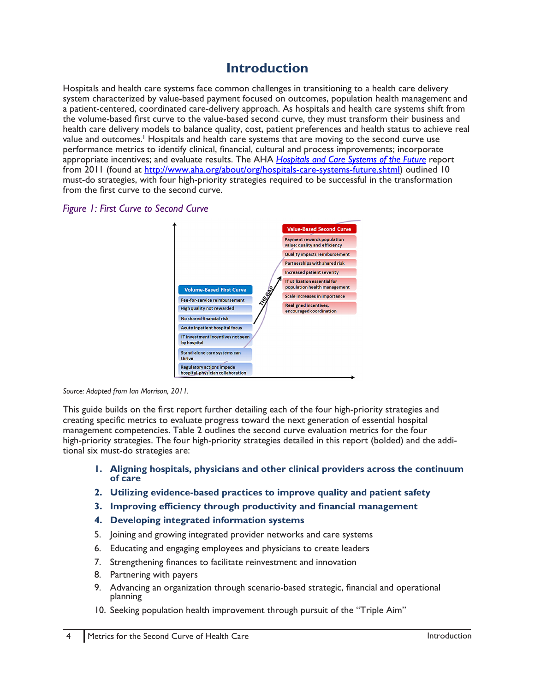## **Introduction**

<span id="page-4-0"></span>Hospitals and health care systems face common challenges in transitioning to a health care delivery system characterized by value-based payment focused on outcomes, population health management and a patient-centered, coordinated care-delivery approach. As hospitals and health care systems shift from the volume-based first curve to the value-based second curve, they must transform their business and health care delivery models to balance quality, cost, patient preferences and health status to achieve real value and outcomes.<sup>1</sup> Hospitals and health care systems that are moving to the second curve use performance metrics to identify clinical, financial, cultural and process improvements; incorporate appropriate incentives; and evaluate results. The AHA *[Hospitals and Care Systems of the Future](http://www.aha.org/about/org/hospitals-care-systems-future.shtml)* report from 2011 (found at [http://www.aha.org/about/org/hospitals-care-systems-future.shtml\)](http://www.aha.org/about/org/hospitals-care-systems-future.shtml) outlined 10 must-do strategies, with four high-priority strategies required to be successful in the transformation from the first curve to the second curve.





*Source: Adapted from Ian Morrison, 2011.*

This guide builds on the first report further detailing each of the four high-priority strategies and creating specific metrics to evaluate progress toward the next generation of essential hospital management competencies. Table 2 outlines the second curve evaluation metrics for the four high-priority strategies. The four high-priority strategies detailed in this report (bolded) and the additional six must-do strategies are:

- **1. Aligning hospitals, physicians and other clinical providers across the continuum of care**
- **2. Utilizing evidence-based practices to improve quality and patient safety**
- **3. Improving efficiency through productivity and financial management**
- **4. Developing integrated information systems**
- 5. Joining and growing integrated provider networks and care systems
- 6. Educating and engaging employees and physicians to create leaders
- 7. Strengthening finances to facilitate reinvestment and innovation
- 8. Partnering with payers
- 9. Advancing an organization through scenario-based strategic, financial and operational planning
- 10. Seeking population health improvement through pursuit of the "Triple Aim"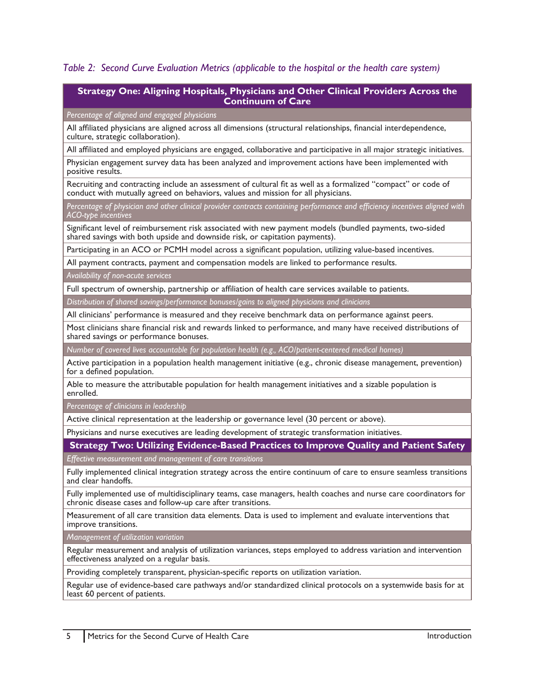#### *Table 2: Second Curve Evaluation Metrics (applicable to the hospital or the health care system)*

#### **Strategy One: Aligning Hospitals, Physicians and Other Clinical Providers Across the Continuum of Care**

#### *Percentage of aligned and engaged physicians*

All affiliated physicians are aligned across all dimensions (structural relationships, financial interdependence, culture, strategic collaboration).

All affiliated and employed physicians are engaged, collaborative and participative in all major strategic initiatives.

Physician engagement survey data has been analyzed and improvement actions have been implemented with positive results.

Recruiting and contracting include an assessment of cultural fit as well as a formalized "compact" or code of conduct with mutually agreed on behaviors, values and mission for all physicians.

*Percentage of physician and other clinical provider contracts containing performance and efficiency incentives aligned with ACO-type incentives* 

Significant level of reimbursement risk associated with new payment models (bundled payments, two-sided shared savings with both upside and downside risk, or capitation payments).

Participating in an ACO or PCMH model across a significant population, utilizing value-based incentives.

All payment contracts, payment and compensation models are linked to performance results.

*Availability of non-acute services* 

Full spectrum of ownership, partnership or affiliation of health care services available to patients.

*Distribution of shared savings/performance bonuses/gains to aligned physicians and clinicians* 

All clinicians' performance is measured and they receive benchmark data on performance against peers.

Most clinicians share financial risk and rewards linked to performance, and many have received distributions of shared savings or performance bonuses.

*Number of covered lives accountable for population health (e.g., ACO/patient-centered medical homes)* 

Active participation in a population health management initiative (e.g., chronic disease management, prevention) for a defined population.

Able to measure the attributable population for health management initiatives and a sizable population is enrolled.

*Percentage of clinicians in leadership* 

Active clinical representation at the leadership or governance level (30 percent or above).

Physicians and nurse executives are leading development of strategic transformation initiatives.

#### **Strategy Two: Utilizing Evidence-Based Practices to Improve Quality and Patient Safety**

*Effective measurement and management of care transitions* 

Fully implemented clinical integration strategy across the entire continuum of care to ensure seamless transitions and clear handoffs.

Fully implemented use of multidisciplinary teams, case managers, health coaches and nurse care coordinators for chronic disease cases and follow-up care after transitions.

Measurement of all care transition data elements. Data is used to implement and evaluate interventions that improve transitions.

*Management of utilization variation* 

Regular measurement and analysis of utilization variances, steps employed to address variation and intervention effectiveness analyzed on a regular basis.

Providing completely transparent, physician-specific reports on utilization variation.

Regular use of evidence-based care pathways and/or standardized clinical protocols on a systemwide basis for at least 60 percent of patients.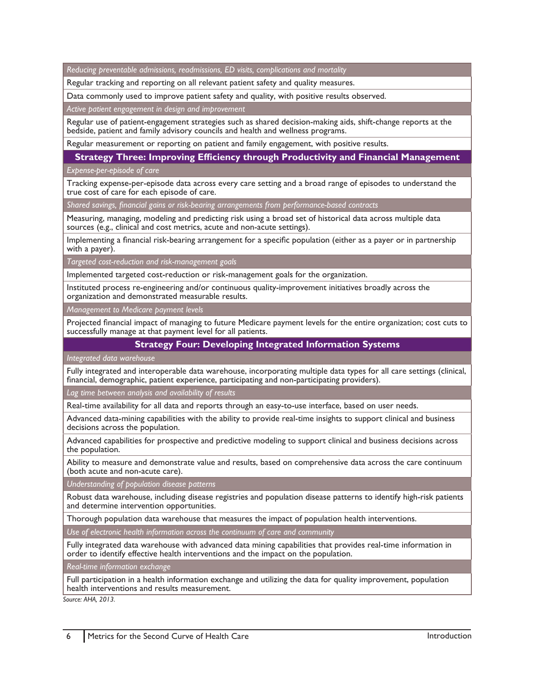*Reducing preventable admissions, readmissions, ED visits, complications and mortality*

Regular tracking and reporting on all relevant patient safety and quality measures.

Data commonly used to improve patient safety and quality, with positive results observed.

*Active patient engagement in design and improvement* 

Regular use of patient-engagement strategies such as shared decision-making aids, shift-change reports at the bedside, patient and family advisory councils and health and wellness programs.

Regular measurement or reporting on patient and family engagement, with positive results.

**Strategy Three: Improving Efficiency through Productivity and Financial Management**

*Expense-per-episode of care* 

Tracking expense-per-episode data across every care setting and a broad range of episodes to understand the true cost of care for each episode of care.

*Shared savings, financial gains or risk-bearing arrangements from performance-based contracts*

Measuring, managing, modeling and predicting risk using a broad set of historical data across multiple data sources (e.g., clinical and cost metrics, acute and non-acute settings).

Implementing a financial risk-bearing arrangement for a specific population (either as a payer or in partnership with a payer).

*Targeted cost-reduction and risk-management goals* 

Implemented targeted cost-reduction or risk-management goals for the organization.

Instituted process re-engineering and/or continuous quality-improvement initiatives broadly across the organization and demonstrated measurable results.

*Management to Medicare payment levels* 

Projected financial impact of managing to future Medicare payment levels for the entire organization; cost cuts to successfully manage at that payment level for all patients.

#### **Strategy Four: Developing Integrated Information Systems**

*Integrated data warehouse* 

Fully integrated and interoperable data warehouse, incorporating multiple data types for all care settings (clinical, financial, demographic, patient experience, participating and non-participating providers).

*Lag time between analysis and availability of results* 

Real-time availability for all data and reports through an easy-to-use interface, based on user needs.

Advanced data-mining capabilities with the ability to provide real-time insights to support clinical and business decisions across the population.

Advanced capabilities for prospective and predictive modeling to support clinical and business decisions across the population.

Ability to measure and demonstrate value and results, based on comprehensive data across the care continuum (both acute and non-acute care).

*Understanding of population disease patterns* 

Robust data warehouse, including disease registries and population disease patterns to identify high-risk patients and determine intervention opportunities.

Thorough population data warehouse that measures the impact of population health interventions.

*Use of electronic health information across the continuum of care and community* 

Fully integrated data warehouse with advanced data mining capabilities that provides real-time information in order to identify effective health interventions and the impact on the population.

*Real-time information exchange*

Full participation in a health information exchange and utilizing the data for quality improvement, population health interventions and results measurement.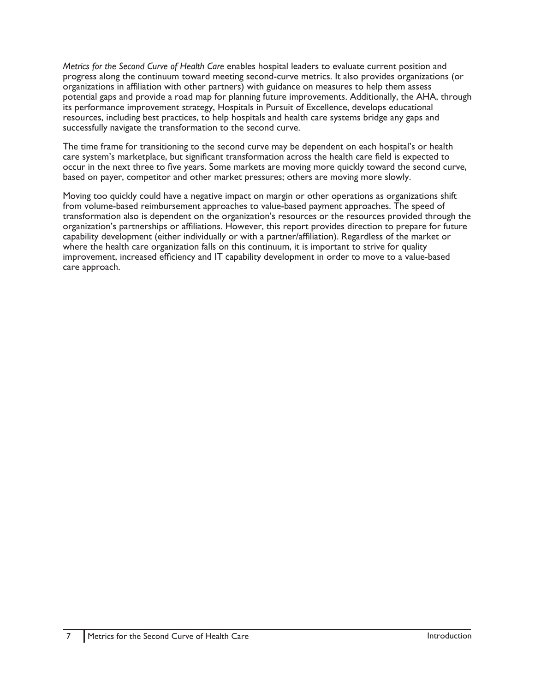*Metrics for the Second Curve of Health Care* enables hospital leaders to evaluate current position and progress along the continuum toward meeting second-curve metrics. It also provides organizations (or organizations in affiliation with other partners) with guidance on measures to help them assess potential gaps and provide a road map for planning future improvements. Additionally, the AHA, through its performance improvement strategy, Hospitals in Pursuit of Excellence, develops educational resources, including best practices, to help hospitals and health care systems bridge any gaps and successfully navigate the transformation to the second curve.

The time frame for transitioning to the second curve may be dependent on each hospital's or health care system's marketplace, but significant transformation across the health care field is expected to occur in the next three to five years. Some markets are moving more quickly toward the second curve, based on payer, competitor and other market pressures; others are moving more slowly.

Moving too quickly could have a negative impact on margin or other operations as organizations shift from volume-based reimbursement approaches to value-based payment approaches. The speed of transformation also is dependent on the organization's resources or the resources provided through the organization's partnerships or affiliations. However, this report provides direction to prepare for future capability development (either individually or with a partner/affiliation). Regardless of the market or where the health care organization falls on this continuum, it is important to strive for quality improvement, increased efficiency and IT capability development in order to move to a value-based care approach.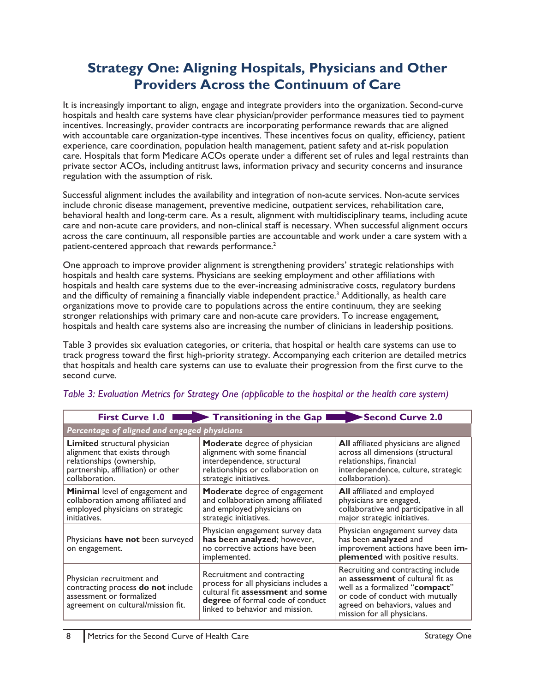## <span id="page-8-0"></span>**Strategy One: Aligning Hospitals, Physicians and Other Providers Across the Continuum of Care**

It is increasingly important to align, engage and integrate providers into the organization. Second-curve hospitals and health care systems have clear physician/provider performance measures tied to payment incentives. Increasingly, provider contracts are incorporating performance rewards that are aligned with accountable care organization-type incentives. These incentives focus on quality, efficiency, patient experience, care coordination, population health management, patient safety and at-risk population care. Hospitals that form Medicare ACOs operate under a different set of rules and legal restraints than private sector ACOs, including antitrust laws, information privacy and security concerns and insurance regulation with the assumption of risk.

Successful alignment includes the availability and integration of non-acute services. Non-acute services include chronic disease management, preventive medicine, outpatient services, rehabilitation care, behavioral health and long-term care. As a result, alignment with multidisciplinary teams, including acute care and non-acute care providers, and non-clinical staff is necessary. When successful alignment occurs across the care continuum, all responsible parties are accountable and work under a care system with a patient-centered approach that rewards performance.<sup>2</sup>

One approach to improve provider alignment is strengthening providers' strategic relationships with hospitals and health care systems. Physicians are seeking employment and other affiliations with hospitals and health care systems due to the ever-increasing administrative costs, regulatory burdens and the difficulty of remaining a financially viable independent practice.<sup>3</sup> Additionally, as health care organizations move to provide care to populations across the entire continuum, they are seeking stronger relationships with primary care and non-acute care providers. To increase engagement, hospitals and health care systems also are increasing the number of clinicians in leadership positions.

Table 3 provides six evaluation categories, or criteria, that hospital or health care systems can use to track progress toward the first high-priority strategy. Accompanying each criterion are detailed metrics that hospitals and health care systems can use to evaluate their progression from the first curve to the second curve.

|                                                                                                                                                           | First Curve 1.0                                                                                                                                                                 | Second Curve 2.0                                                                                                                                                                                               |
|-----------------------------------------------------------------------------------------------------------------------------------------------------------|---------------------------------------------------------------------------------------------------------------------------------------------------------------------------------|----------------------------------------------------------------------------------------------------------------------------------------------------------------------------------------------------------------|
| Percentage of aligned and engaged physicians                                                                                                              |                                                                                                                                                                                 |                                                                                                                                                                                                                |
| <b>Limited</b> structural physician<br>alignment that exists through<br>relationships (ownership,<br>partnership, affiliation) or other<br>collaboration. | Moderate degree of physician<br>alignment with some financial<br>interdependence, structural<br>relationships or collaboration on<br>strategic initiatives.                     | All affiliated physicians are aligned<br>across all dimensions (structural<br>relationships, financial<br>interdependence, culture, strategic<br>collaboration).                                               |
| Minimal level of engagement and<br>collaboration among affiliated and<br>employed physicians on strategic<br>initiatives.                                 | Moderate degree of engagement<br>and collaboration among affiliated<br>and employed physicians on<br>strategic initiatives.                                                     | <b>All</b> affiliated and employed<br>physicians are engaged,<br>collaborative and participative in all<br>major strategic initiatives.                                                                        |
| Physicians have not been surveyed<br>on engagement.                                                                                                       | Physician engagement survey data<br>has been analyzed; however,<br>no corrective actions have been<br>implemented.                                                              | Physician engagement survey data<br>has been <b>analyzed</b> and<br>improvement actions have been im-<br>plemented with positive results.                                                                      |
| Physician recruitment and<br>contracting process do not include<br>assessment or formalized<br>agreement on cultural/mission fit.                         | Recruitment and contracting<br>process for all physicians includes a<br>cultural fit assessment and some<br>degree of formal code of conduct<br>linked to behavior and mission. | Recruiting and contracting include<br>an assessment of cultural fit as<br>well as a formalized "compact"<br>or code of conduct with mutually<br>agreed on behaviors, values and<br>mission for all physicians. |

## *Table 3: Evaluation Metrics for Strategy One (applicable to the hospital or the health care system)*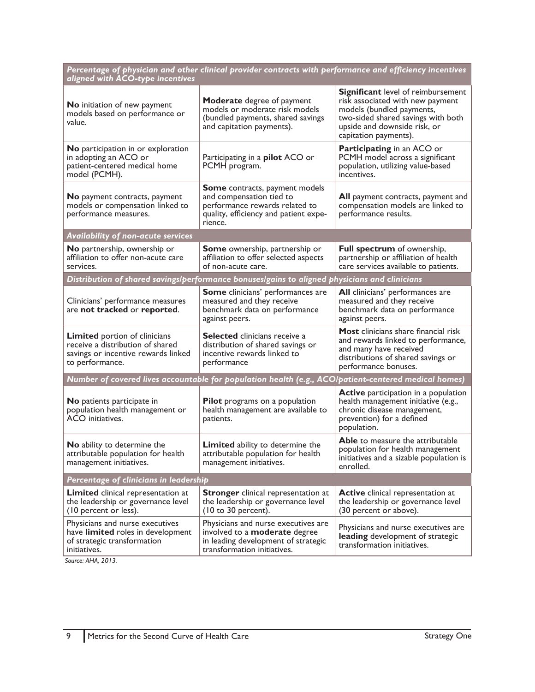| Percentage of physician and other clinical provider contracts with performance and efficiency incentives<br>aligned with ACO-type incentives |                                                                                                                                                   |                                                                                                                                                                                                           |
|----------------------------------------------------------------------------------------------------------------------------------------------|---------------------------------------------------------------------------------------------------------------------------------------------------|-----------------------------------------------------------------------------------------------------------------------------------------------------------------------------------------------------------|
| No initiation of new payment<br>models based on performance or<br>value.                                                                     | <b>Moderate</b> degree of payment<br>models or moderate risk models<br>(bundled payments, shared savings<br>and capitation payments).             | <b>Significant</b> level of reimbursement<br>risk associated with new payment<br>models (bundled payments,<br>two-sided shared savings with both<br>upside and downside risk, or<br>capitation payments). |
| No participation in or exploration<br>in adopting an ACO or<br>patient-centered medical home<br>model (PCMH).                                | Participating in a pilot ACO or<br>PCMH program.                                                                                                  | <b>Participating in an ACO or</b><br>PCMH model across a significant<br>population, utilizing value-based<br>incentives.                                                                                  |
| <b>No</b> payment contracts, payment<br>models or compensation linked to<br>performance measures.                                            | Some contracts, payment models<br>and compensation tied to<br>performance rewards related to<br>quality, efficiency and patient expe-<br>rience.  | All payment contracts, payment and<br>compensation models are linked to<br>performance results.                                                                                                           |
| <b>Availability of non-acute services</b>                                                                                                    |                                                                                                                                                   |                                                                                                                                                                                                           |
| <b>No</b> partnership, ownership or<br>affiliation to offer non-acute care<br>services.                                                      | <b>Some</b> ownership, partnership or<br>affiliation to offer selected aspects<br>of non-acute care.                                              | <b>Full spectrum</b> of ownership,<br>partnership or affiliation of health<br>care services available to patients.                                                                                        |
|                                                                                                                                              | Distribution of shared savings/performance bonuses/gains to aligned physicians and clinicians                                                     |                                                                                                                                                                                                           |
| Clinicians' performance measures<br>are not tracked or reported.                                                                             | <b>Some</b> clinicians' performances are<br>measured and they receive<br>benchmark data on performance<br>against peers.                          | All clinicians' performances are<br>measured and they receive<br>benchmark data on performance<br>against peers.                                                                                          |
| <b>Limited</b> portion of clinicians<br>receive a distribution of shared<br>savings or incentive rewards linked<br>to performance.           | <b>Selected</b> clinicians receive a<br>distribution of shared savings or<br>incentive rewards linked to<br>performance                           | Most clinicians share financial risk<br>and rewards linked to performance,<br>and many have received<br>distributions of shared savings or<br>performance bonuses.                                        |
|                                                                                                                                              | Number of covered lives accountable for population health (e.g., ACO/patient-centered medical homes)                                              |                                                                                                                                                                                                           |
| No patients participate in<br>population health management or<br>ACO initiatives.                                                            | Pilot programs on a population<br>health management are available to<br>patients.                                                                 | <b>Active</b> participation in a population<br>health management initiative (e.g.,<br>chronic disease management,<br>prevention) for a defined<br>population.                                             |
| No ability to determine the<br>attributable population for health<br>management initiatives.                                                 | <b>Limited</b> ability to determine the<br>attributable population for health<br>management initiatives.                                          | <b>Able</b> to measure the attributable<br>population for health management<br>initiatives and a sizable population is<br>enrolled.                                                                       |
| Percentage of clinicians in leadership                                                                                                       |                                                                                                                                                   |                                                                                                                                                                                                           |
| <b>Limited</b> clinical representation at<br>the leadership or governance level<br>(10 percent or less).                                     | <b>Stronger</b> clinical representation at<br>the leadership or governance level<br>$(10 \text{ to } 30 \text{ percent}).$                        | <b>Active</b> clinical representation at<br>the leadership or governance level<br>(30 percent or above).                                                                                                  |
| Physicians and nurse executives<br>have limited roles in development<br>of strategic transformation<br>initiatives.                          | Physicians and nurse executives are<br>involved to a <b>moderate</b> degree<br>in leading development of strategic<br>transformation initiatives. | Physicians and nurse executives are<br>leading development of strategic<br>transformation initiatives.                                                                                                    |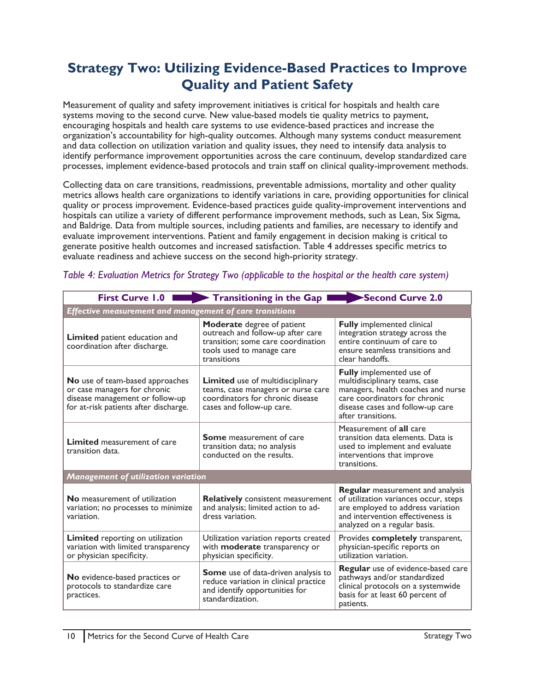# <span id="page-10-0"></span>**Strategy Two: Utilizing Evidence-Based Practices to Improve Quality and Patient Safety**

Measurement of quality and safety improvement initiatives is critical for hospitals and health care systems moving to the second curve. New value-based models tie quality metrics to payment, encouraging hospitals and health care systems to use evidence-based practices and increase the organization's accountability for high-quality outcomes. Although many systems conduct measurement and data collection on utilization variation and quality issues, they need to intensify data analysis to identify performance improvement opportunities across the care continuum, develop standardized care processes, implement evidence-based protocols and train staff on clinical quality-improvement methods.

Collecting data on care transitions, readmissions, preventable admissions, mortality and other quality metrics allows health care organizations to identify variations in care, providing opportunities for clinical quality or process improvement. Evidence-based practices guide quality-improvement interventions and hospitals can utilize a variety of different performance improvement methods, such as Lean, Six Sigma, and Baldrige. Data from multiple sources, including patients and families, are necessary to identify and evaluate improvement interventions. Patient and family engagement in decision making is critical to generate positive health outcomes and increased satisfaction. Table 4 addresses specific metrics to evaluate readiness and achieve success on the second high-priority strategy.

|                                                                                                                                                    | First Curve $1.0$ <b>EXECURY</b> Transitioning in the Gap                                                                                         | Second Curve 2.0                                                                                                                                                                                  |
|----------------------------------------------------------------------------------------------------------------------------------------------------|---------------------------------------------------------------------------------------------------------------------------------------------------|---------------------------------------------------------------------------------------------------------------------------------------------------------------------------------------------------|
| Effective measurement and management of care transitions                                                                                           |                                                                                                                                                   |                                                                                                                                                                                                   |
| Limited patient education and<br>coordination after discharge.                                                                                     | Moderate degree of patient<br>outreach and follow-up after care<br>transition; some care coordination<br>tools used to manage care<br>transitions | <b>Fully</b> implemented clinical<br>integration strategy across the<br>entire continuum of care to<br>ensure seamless transitions and<br>clear handoffs.                                         |
| <b>No</b> use of team-based approaches<br>or case managers for chronic<br>disease management or follow-up<br>for at-risk patients after discharge. | Limited use of multidisciplinary<br>teams, case managers or nurse care<br>coordinators for chronic disease<br>cases and follow-up care.           | <b>Fully</b> implemented use of<br>multidisciplinary teams, case<br>managers, health coaches and nurse<br>care coordinators for chronic<br>disease cases and follow-up care<br>after transitions. |
| <b>Limited</b> measurement of care<br>transition data.                                                                                             | <b>Some</b> measurement of care<br>transition data; no analysis<br>conducted on the results.                                                      | Measurement of all care<br>transition data elements. Data is<br>used to implement and evaluate<br>interventions that improve<br>transitions.                                                      |
| <b>Management of utilization variation</b>                                                                                                         |                                                                                                                                                   |                                                                                                                                                                                                   |
| <b>No</b> measurement of utilization<br>variation; no processes to minimize<br>variation.                                                          | <b>Relatively</b> consistent measurement<br>and analysis; limited action to ad-<br>dress variation.                                               | <b>Regular</b> measurement and analysis<br>of utilization variances occur, steps<br>are employed to address variation<br>and intervention effectiveness is<br>analyzed on a regular basis.        |
| Limited reporting on utilization<br>variation with limited transparency<br>or physician specificity.                                               | Utilization variation reports created<br>with moderate transparency or<br>physician specificity.                                                  | Provides completely transparent,<br>physician-specific reports on<br>utilization variation.                                                                                                       |
| No evidence-based practices or<br>protocols to standardize care<br>practices.                                                                      | Some use of data-driven analysis to<br>reduce variation in clinical practice<br>and identify opportunities for<br>standardization.                | Regular use of evidence-based care<br>pathways and/or standardized<br>clinical protocols on a systemwide<br>basis for at least 60 percent of<br>patients.                                         |

## *Table 4: Evaluation Metrics for Strategy Two (applicable to the hospital or the health care system)*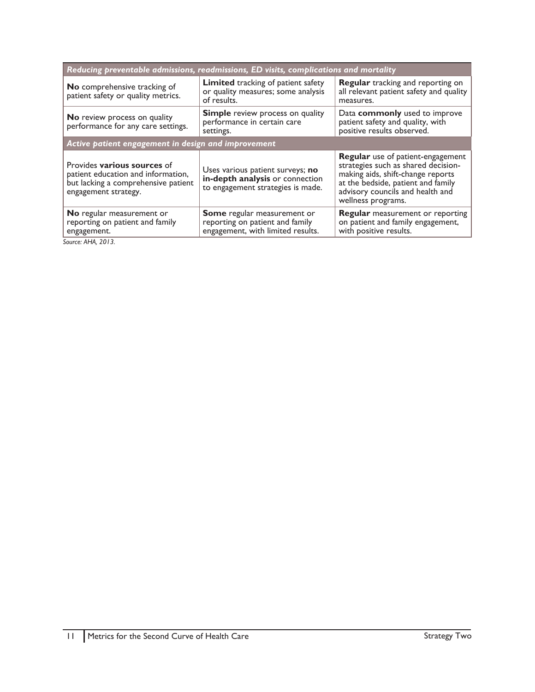| Reducing preventable admissions, readmissions, ED visits, complications and mortality                                            |                                                                                                          |                                                                                                                                                                                                               |
|----------------------------------------------------------------------------------------------------------------------------------|----------------------------------------------------------------------------------------------------------|---------------------------------------------------------------------------------------------------------------------------------------------------------------------------------------------------------------|
| No comprehensive tracking of<br>patient safety or quality metrics.                                                               | <b>Limited</b> tracking of patient safety<br>or quality measures; some analysis<br>of results.           | <b>Regular</b> tracking and reporting on<br>all relevant patient safety and quality<br>measures.                                                                                                              |
| <b>No</b> review process on quality<br>performance for any care settings.                                                        | <b>Simple</b> review process on quality<br>performance in certain care<br>settings.                      | Data commonly used to improve<br>patient safety and quality, with<br>positive results observed.                                                                                                               |
| Active patient engagement in design and improvement                                                                              |                                                                                                          |                                                                                                                                                                                                               |
| Provides various sources of<br>patient education and information,<br>but lacking a comprehensive patient<br>engagement strategy. | Uses various patient surveys; no<br>in-depth analysis or connection<br>to engagement strategies is made. | Regular use of patient-engagement<br>strategies such as shared decision-<br>making aids, shift-change reports<br>at the bedside, patient and family<br>advisory councils and health and<br>wellness programs. |
| No regular measurement or<br>reporting on patient and family<br>engagement.                                                      | Some regular measurement or<br>reporting on patient and family<br>engagement, with limited results.      | <b>Regular</b> measurement or reporting<br>on patient and family engagement,<br>with positive results.                                                                                                        |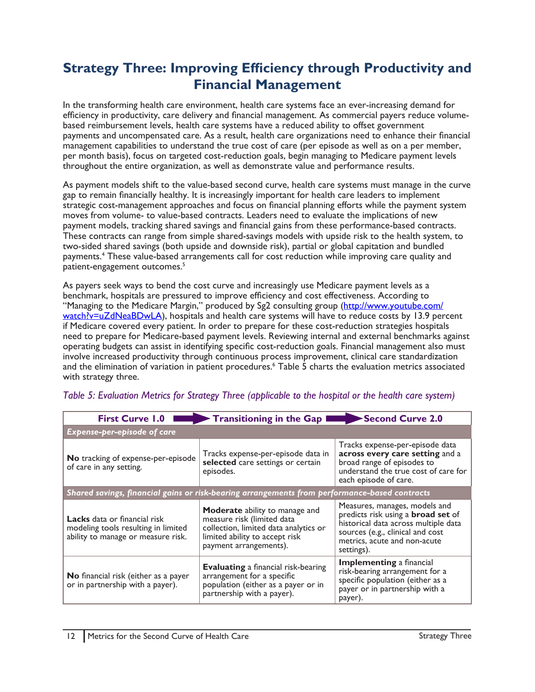# <span id="page-12-0"></span>**Strategy Three: Improving Efficiency through Productivity and Financial Management**

In the transforming health care environment, health care systems face an ever-increasing demand for efficiency in productivity, care delivery and financial management. As commercial payers reduce volumebased reimbursement levels, health care systems have a reduced ability to offset government payments and uncompensated care. As a result, health care organizations need to enhance their financial management capabilities to understand the true cost of care (per episode as well as on a per member, per month basis), focus on targeted cost-reduction goals, begin managing to Medicare payment levels throughout the entire organization, as well as demonstrate value and performance results.

As payment models shift to the value-based second curve, health care systems must manage in the curve gap to remain financially healthy. It is increasingly important for health care leaders to implement strategic cost-management approaches and focus on financial planning efforts while the payment system moves from volume- to value-based contracts. Leaders need to evaluate the implications of new payment models, tracking shared savings and financial gains from these performance-based contracts. These contracts can range from simple shared-savings models with upside risk to the health system, to two-sided shared savings (both upside and downside risk), partial or global capitation and bundled payments.4 These value-based arrangements call for cost reduction while improving care quality and patient-engagement outcomes.<sup>5</sup>

As payers seek ways to bend the cost curve and increasingly use Medicare payment levels as a benchmark, hospitals are pressured to improve efficiency and cost effectiveness. According to "Managing to the Medicare Margin," produced by Sg2 consulting group ([http://www.youtube.com/](http://www.youtube.com/watch?v=uZdNeaBDwLA) [watch?v=uZdNeaBDwLA](http://www.youtube.com/watch?v=uZdNeaBDwLA)), hospitals and health care systems will have to reduce costs by 13.9 percent if Medicare covered every patient. In order to prepare for these cost-reduction strategies hospitals need to prepare for Medicare-based payment levels. Reviewing internal and external benchmarks against operating budgets can assist in identifying specific cost-reduction goals. Financial management also must involve increased productivity through continuous process improvement, clinical care standardization and the elimination of variation in patient procedures.<sup>6</sup> Table 5 charts the evaluation metrics associated with strategy three.

| <b>First Curve 1.0</b>                                                                                           | Transitioning in the Gap I                                                                                                                                               | Second Curve 2.0                                                                                                                                                                                     |
|------------------------------------------------------------------------------------------------------------------|--------------------------------------------------------------------------------------------------------------------------------------------------------------------------|------------------------------------------------------------------------------------------------------------------------------------------------------------------------------------------------------|
| Expense-per-episode of care                                                                                      |                                                                                                                                                                          |                                                                                                                                                                                                      |
| No tracking of expense-per-episode<br>of care in any setting.                                                    | Tracks expense-per-episode data in<br>selected care settings or certain<br>episodes.                                                                                     | Tracks expense-per-episode data<br>across every care setting and a<br>broad range of episodes to<br>understand the true cost of care for<br>each episode of care.                                    |
| Shared savings, financial gains or risk-bearing arrangements from performance-based contracts                    |                                                                                                                                                                          |                                                                                                                                                                                                      |
| <b>Lacks</b> data or financial risk<br>modeling tools resulting in limited<br>ability to manage or measure risk. | <b>Moderate</b> ability to manage and<br>measure risk (limited data<br>collection, limited data analytics or<br>limited ability to accept risk<br>payment arrangements). | Measures, manages, models and<br>predicts risk using a <b>broad set</b> of<br>historical data across multiple data<br>sources (e.g., clinical and cost<br>metrics, acute and non-acute<br>settings). |
| No financial risk (either as a payer<br>or in partnership with a payer).                                         | <b>Evaluating</b> a financial risk-bearing<br>arrangement for a specific<br>population (either as a payer or in<br>partnership with a payer).                            | <b>Implementing a financial</b><br>risk-bearing arrangement for a<br>specific population (either as a<br>payer or in partnership with a<br>payer).                                                   |

## *Table 5: Evaluation Metrics for Strategy Three (applicable to the hospital or the health care system)*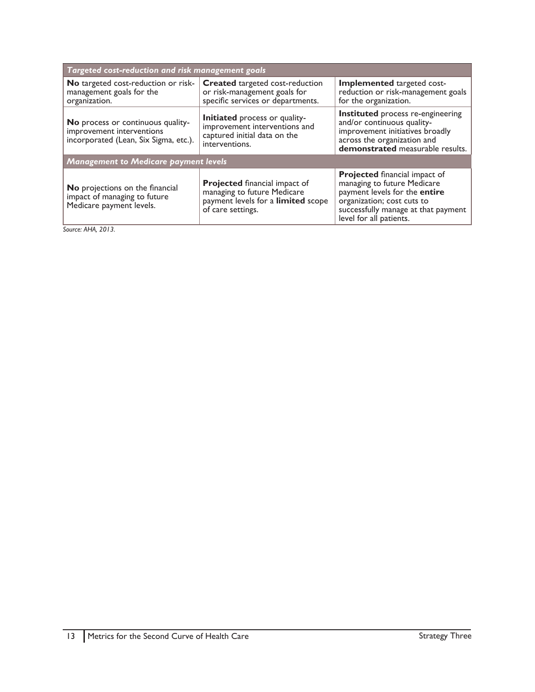| Targeted cost-reduction and risk management goals                                                       |                                                                                                                                |                                                                                                                                                                                                      |
|---------------------------------------------------------------------------------------------------------|--------------------------------------------------------------------------------------------------------------------------------|------------------------------------------------------------------------------------------------------------------------------------------------------------------------------------------------------|
| <b>No</b> targeted cost-reduction or risk-<br>management goals for the<br>organization.                 | <b>Created</b> targeted cost-reduction<br>or risk-management goals for<br>specific services or departments.                    | Implemented targeted cost-<br>reduction or risk-management goals<br>for the organization.                                                                                                            |
| No process or continuous quality-<br>improvement interventions<br>incorporated (Lean, Six Sigma, etc.). | <b>Initiated</b> process or quality-<br>improvement interventions and<br>captured initial data on the<br>interventions.        | Instituted process re-engineering<br>and/or continuous quality-<br>improvement initiatives broadly<br>across the organization and<br>demonstrated measurable results.                                |
| <b>Management to Medicare payment levels</b>                                                            |                                                                                                                                |                                                                                                                                                                                                      |
| No projections on the financial<br>impact of managing to future<br>Medicare payment levels.             | <b>Projected</b> financial impact of<br>managing to future Medicare<br>payment levels for a limited scope<br>of care settings. | <b>Projected financial impact of</b><br>managing to future Medicare<br>payment levels for the entire<br>organization; cost cuts to<br>successfully manage at that payment<br>level for all patients. |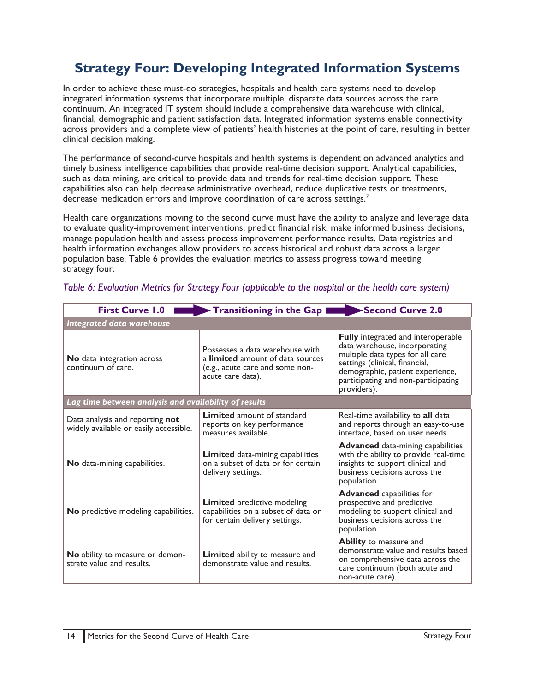# <span id="page-14-0"></span>**Strategy Four: Developing Integrated Information Systems**

In order to achieve these must-do strategies, hospitals and health care systems need to develop integrated information systems that incorporate multiple, disparate data sources across the care continuum. An integrated IT system should include a comprehensive data warehouse with clinical, financial, demographic and patient satisfaction data. Integrated information systems enable connectivity across providers and a complete view of patients' health histories at the point of care, resulting in better clinical decision making.

The performance of second-curve hospitals and health systems is dependent on advanced analytics and timely business intelligence capabilities that provide real-time decision support. Analytical capabilities, such as data mining, are critical to provide data and trends for real-time decision support. These capabilities also can help decrease administrative overhead, reduce duplicative tests or treatments, decrease medication errors and improve coordination of care across settings.<sup>7</sup>

Health care organizations moving to the second curve must have the ability to analyze and leverage data to evaluate quality-improvement interventions, predict financial risk, make informed business decisions, manage population health and assess process improvement performance results. Data registries and health information exchanges allow providers to access historical and robust data across a larger population base. Table 6 provides the evaluation metrics to assess progress toward meeting strategy four.

| <b>First Curve 1.0</b>                                                    | Transitioning in the Gap I                                                                                                         | Second Curve 2.0                                                                                                                                                                                                                           |
|---------------------------------------------------------------------------|------------------------------------------------------------------------------------------------------------------------------------|--------------------------------------------------------------------------------------------------------------------------------------------------------------------------------------------------------------------------------------------|
| Integrated data warehouse                                                 |                                                                                                                                    |                                                                                                                                                                                                                                            |
| No data integration across<br>continuum of care.                          | Possesses a data warehouse with<br>a <b>limited</b> amount of data sources<br>(e.g., acute care and some non-<br>acute care data). | <b>Fully</b> integrated and interoperable<br>data warehouse, incorporating<br>multiple data types for all care<br>settings (clinical, financial,<br>demographic, patient experience,<br>participating and non-participating<br>providers). |
| Lag time between analysis and availability of results                     |                                                                                                                                    |                                                                                                                                                                                                                                            |
| Data analysis and reporting not<br>widely available or easily accessible. | <b>Limited</b> amount of standard<br>reports on key performance<br>measures available.                                             | Real-time availability to all data<br>and reports through an easy-to-use<br>interface, based on user needs.                                                                                                                                |
| No data-mining capabilities.                                              | Limited data-mining capabilities<br>on a subset of data or for certain<br>delivery settings.                                       | <b>Advanced</b> data-mining capabilities<br>with the ability to provide real-time<br>insights to support clinical and<br>business decisions across the<br>population.                                                                      |
| No predictive modeling capabilities.                                      | <b>Limited</b> predictive modeling<br>capabilities on a subset of data or<br>for certain delivery settings.                        | <b>Advanced</b> capabilities for<br>prospective and predictive<br>modeling to support clinical and<br>business decisions across the<br>population.                                                                                         |
| No ability to measure or demon-<br>strate value and results.              | <b>Limited</b> ability to measure and<br>demonstrate value and results.                                                            | Ability to measure and<br>demonstrate value and results based<br>on comprehensive data across the<br>care continuum (both acute and<br>non-acute care).                                                                                    |

## *Table 6: Evaluation Metrics for Strategy Four (applicable to the hospital or the health care system)*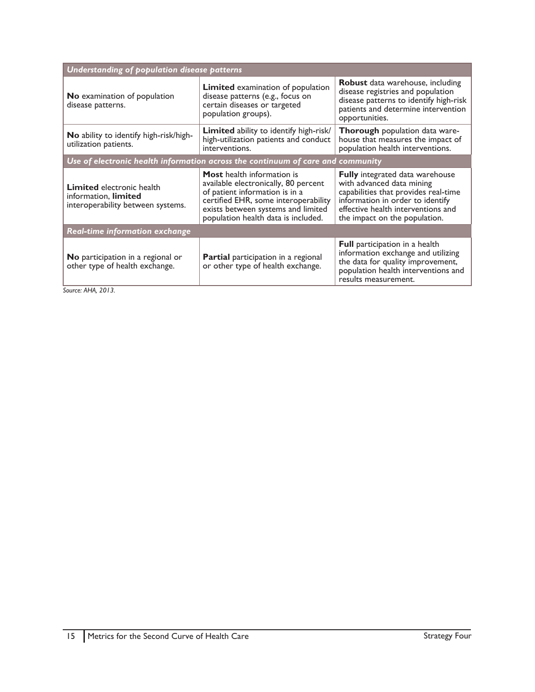| Understanding of population disease patterns                                                  |                                                                                                                                                                                                                                  |                                                                                                                                                                                                                        |
|-----------------------------------------------------------------------------------------------|----------------------------------------------------------------------------------------------------------------------------------------------------------------------------------------------------------------------------------|------------------------------------------------------------------------------------------------------------------------------------------------------------------------------------------------------------------------|
| No examination of population<br>disease patterns.                                             | <b>Limited</b> examination of population<br>disease patterns (e.g., focus on<br>certain diseases or targeted<br>population groups).                                                                                              | <b>Robust</b> data warehouse, including<br>disease registries and population<br>disease patterns to identify high-risk<br>patients and determine intervention<br>opportunities.                                        |
| No ability to identify high-risk/high-<br>utilization patients.                               | <b>Limited</b> ability to identify high-risk/<br>high-utilization patients and conduct<br>interventions.                                                                                                                         | Thorough population data ware-<br>house that measures the impact of<br>population health interventions.                                                                                                                |
| Use of electronic health information across the continuum of care and community               |                                                                                                                                                                                                                                  |                                                                                                                                                                                                                        |
| <b>Limited</b> electronic health<br>information, limited<br>interoperability between systems. | <b>Most</b> health information is<br>available electronically, 80 percent<br>of patient information is in a<br>certified EHR, some interoperability<br>exists between systems and limited<br>population health data is included. | <b>Fully</b> integrated data warehouse<br>with advanced data mining<br>capabilities that provides real-time<br>information in order to identify<br>effective health interventions and<br>the impact on the population. |
| <b>Real-time information exchange</b>                                                         |                                                                                                                                                                                                                                  |                                                                                                                                                                                                                        |
| <b>No</b> participation in a regional or<br>other type of health exchange.                    | <b>Partial</b> participation in a regional<br>or other type of health exchange.                                                                                                                                                  | <b>Full</b> participation in a health<br>information exchange and utilizing<br>the data for quality improvement,<br>population health interventions and<br>results measurement.                                        |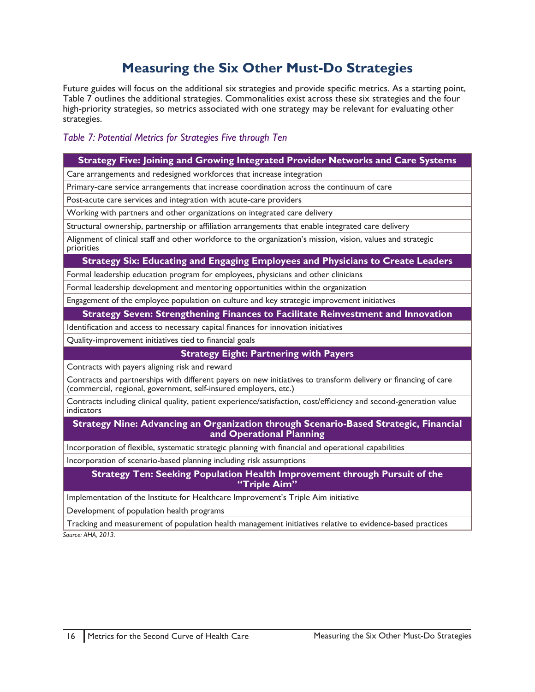# **Measuring the Six Other Must-Do Strategies**

<span id="page-16-0"></span>Future guides will focus on the additional six strategies and provide specific metrics. As a starting point, Table 7 outlines the additional strategies. Commonalities exist across these six strategies and the four high-priority strategies, so metrics associated with one strategy may be relevant for evaluating other strategies.

## *Table 7: Potential Metrics for Strategies Five through Ten*

## **Strategy Five: Joining and Growing Integrated Provider Networks and Care Systems**

Care arrangements and redesigned workforces that increase integration

Primary-care service arrangements that increase coordination across the continuum of care

Post-acute care services and integration with acute-care providers

Working with partners and other organizations on integrated care delivery

Structural ownership, partnership or affiliation arrangements that enable integrated care delivery

Alignment of clinical staff and other workforce to the organization's mission, vision, values and strategic priorities

#### **Strategy Six: Educating and Engaging Employees and Physicians to Create Leaders**

Formal leadership education program for employees, physicians and other clinicians

Formal leadership development and mentoring opportunities within the organization

Engagement of the employee population on culture and key strategic improvement initiatives

#### **Strategy Seven: Strengthening Finances to Facilitate Reinvestment and Innovation**

Identification and access to necessary capital finances for innovation initiatives

Quality-improvement initiatives tied to financial goals

#### **Strategy Eight: Partnering with Payers**

Contracts with payers aligning risk and reward

Contracts and partnerships with different payers on new initiatives to transform delivery or financing of care (commercial, regional, government, self-insured employers, etc.)

Contracts including clinical quality, patient experience/satisfaction, cost/efficiency and second-generation value indicators

**Strategy Nine: Advancing an Organization through Scenario-Based Strategic, Financial and Operational Planning**

Incorporation of flexible, systematic strategic planning with financial and operational capabilities

Incorporation of scenario-based planning including risk assumptions

**Strategy Ten: Seeking Population Health Improvement through Pursuit of the "Triple Aim"**

Implementation of the Institute for Healthcare Improvement's Triple Aim initiative

Development of population health programs

Tracking and measurement of population health management initiatives relative to evidence-based practices *Source: AHA, 2013.*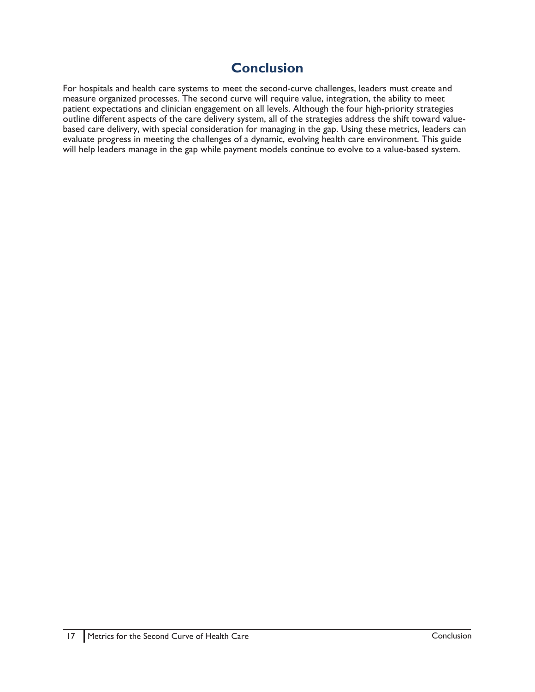# **Conclusion**

<span id="page-17-0"></span>For hospitals and health care systems to meet the second-curve challenges, leaders must create and measure organized processes. The second curve will require value, integration, the ability to meet patient expectations and clinician engagement on all levels. Although the four high-priority strategies outline different aspects of the care delivery system, all of the strategies address the shift toward valuebased care delivery, with special consideration for managing in the gap. Using these metrics, leaders can evaluate progress in meeting the challenges of a dynamic, evolving health care environment. This guide will help leaders manage in the gap while payment models continue to evolve to a value-based system.